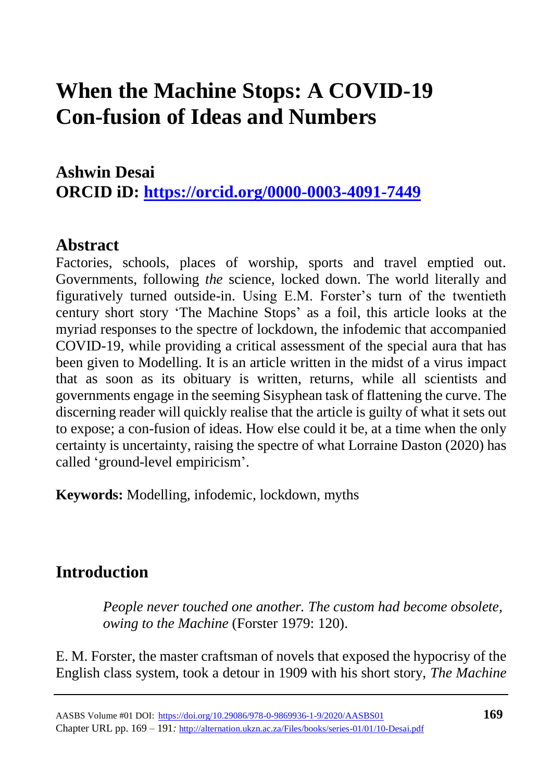### **Ashwin Desai ORCID iD:<https://orcid.org/0000-0003-4091-7449>**

### **Abstract**

Factories, schools, places of worship, sports and travel emptied out. Governments, following *the* science, locked down. The world literally and figuratively turned outside-in. Using E.M. Forster's turn of the twentieth century short story 'The Machine Stops' as a foil, this article looks at the myriad responses to the spectre of lockdown, the infodemic that accompanied COVID-19, while providing a critical assessment of the special aura that has been given to Modelling. It is an article written in the midst of a virus impact that as soon as its obituary is written, returns, while all scientists and governments engage in the seeming Sisyphean task of flattening the curve. The discerning reader will quickly realise that the article is guilty of what it sets out to expose; a con-fusion of ideas. How else could it be, at a time when the only certainty is uncertainty, raising the spectre of what Lorraine Daston (2020) has called 'ground-level empiricism'.

**Keywords:** Modelling, infodemic, lockdown, myths

### **Introduction**

*People never touched one another. The custom had become obsolete, owing to the Machine* (Forster 1979: 120).

E. M. Forster, the master craftsman of novels that exposed the hypocrisy of the English class system, took a detour in 1909 with his short story, *The Machine*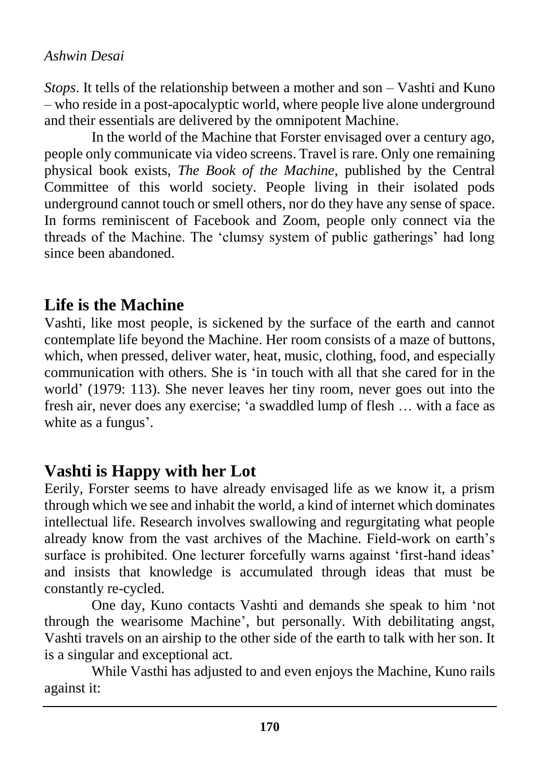*Stops*. It tells of the relationship between a mother and son – Vashti and Kuno – who reside in a post-apocalyptic world, where people live alone underground and their essentials are delivered by the omnipotent Machine.

In the world of the Machine that Forster envisaged over a century ago, people only communicate via video screens. Travel is rare. Only one remaining physical book exists, *The Book of the Machine,* published by the Central Committee of this world society. People living in their isolated pods underground cannot touch or smell others, nor do they have any sense of space. In forms reminiscent of Facebook and Zoom, people only connect via the threads of the Machine. The 'clumsy system of public gatherings' had long since been abandoned.

## **Life is the Machine**

Vashti, like most people, is sickened by the surface of the earth and cannot contemplate life beyond the Machine. Her room consists of a maze of buttons, which, when pressed, deliver water, heat, music, clothing, food, and especially communication with others. She is 'in touch with all that she cared for in the world' (1979: 113). She never leaves her tiny room, never goes out into the fresh air, never does any exercise; 'a swaddled lump of flesh … with a face as white as a fungus'.

# **Vashti is Happy with her Lot**

Eerily, Forster seems to have already envisaged life as we know it, a prism through which we see and inhabit the world, a kind of internet which dominates intellectual life. Research involves swallowing and regurgitating what people already know from the vast archives of the Machine. Field-work on earth's surface is prohibited. One lecturer forcefully warns against 'first-hand ideas' and insists that knowledge is accumulated through ideas that must be constantly re-cycled.

One day, Kuno contacts Vashti and demands she speak to him 'not through the wearisome Machine', but personally. With debilitating angst, Vashti travels on an airship to the other side of the earth to talk with her son. It is a singular and exceptional act.

While Vasthi has adjusted to and even enjoys the Machine, Kuno rails against it: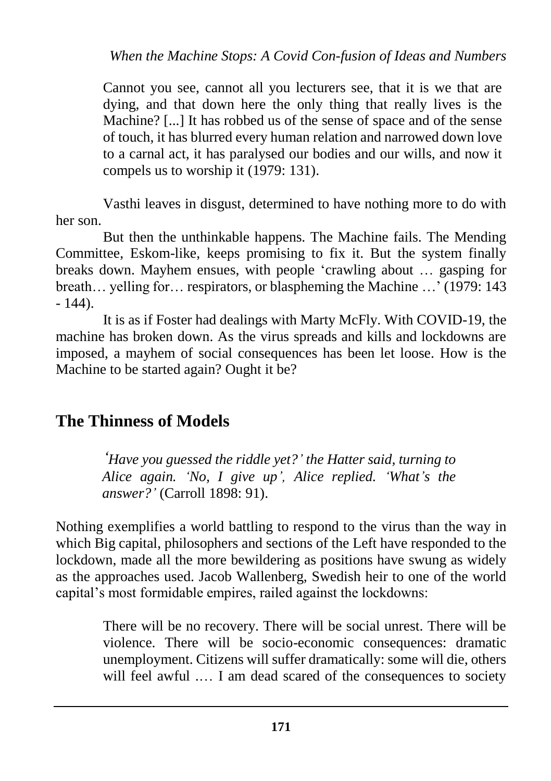Cannot you see, cannot all you lecturers see, that it is we that are dying, and that down here the only thing that really lives is the Machine? [...] It has robbed us of the sense of space and of the sense of touch, it has blurred every human relation and narrowed down love to a carnal act, it has paralysed our bodies and our wills, and now it compels us to worship it (1979: 131).

Vasthi leaves in disgust, determined to have nothing more to do with her son.

But then the unthinkable happens. The Machine fails. The Mending Committee, Eskom-like, keeps promising to fix it. But the system finally breaks down. Mayhem ensues, with people 'crawling about … gasping for breath… yelling for… respirators, or blaspheming the Machine …' (1979: 143  $-144$ ).

It is as if Foster had dealings with Marty McFly. With COVID-19, the machine has broken down. As the virus spreads and kills and lockdowns are imposed, a mayhem of social consequences has been let loose. How is the Machine to be started again? Ought it be?

### **The Thinness of Models**

*'Have you guessed the riddle yet?' the Hatter said, turning to Alice again. 'No, I give up', Alice replied. 'What's the answer?'* (Carroll 1898: 91).

Nothing exemplifies a world battling to respond to the virus than the way in which Big capital, philosophers and sections of the Left have responded to the lockdown, made all the more bewildering as positions have swung as widely as the approaches used. Jacob Wallenberg, Swedish heir to one of the world capital's most formidable empires, railed against the lockdowns:

> There will be no recovery. There will be social unrest. There will be violence. There will be socio-economic consequences: dramatic unemployment. Citizens will suffer dramatically: some will die, others will feel awful .... I am dead scared of the consequences to society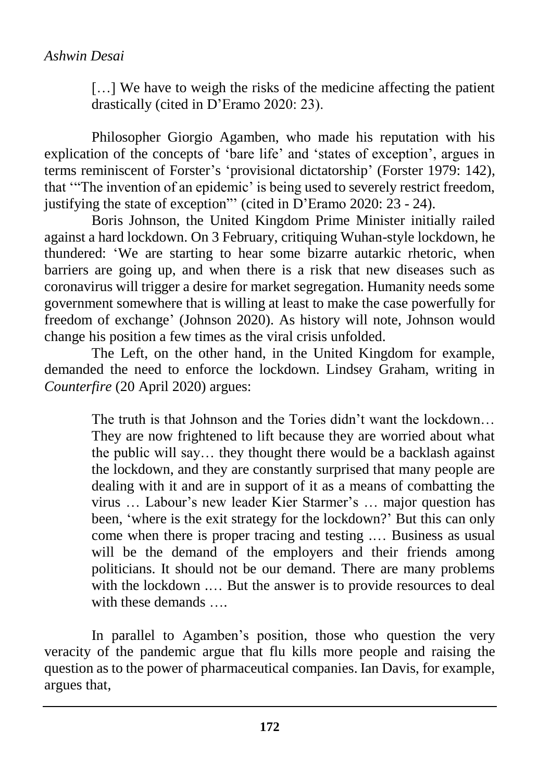[...] We have to weigh the risks of the medicine affecting the patient drastically (cited in D'Eramo 2020: 23).

Philosopher Giorgio Agamben, who made his reputation with his explication of the concepts of 'bare life' and 'states of exception', argues in terms reminiscent of Forster's 'provisional dictatorship' (Forster 1979: 142), that '"The invention of an epidemic' is being used to severely restrict freedom, justifying the state of exception"' (cited in D'Eramo 2020: 23 - 24).

Boris Johnson, the United Kingdom Prime Minister initially railed against a hard lockdown. On 3 February, critiquing Wuhan-style lockdown, he thundered: 'We are starting to hear some bizarre autarkic rhetoric, when barriers are going up, and when there is a risk that new diseases such as coronavirus will trigger a desire for market segregation. Humanity needs some government somewhere that is willing at least to make the case powerfully for freedom of exchange' (Johnson 2020). As history will note, Johnson would change his position a few times as the viral crisis unfolded.

The Left, on the other hand, in the United Kingdom for example, demanded the need to enforce the lockdown. Lindsey Graham, writing in *Counterfire* (20 April 2020) argues:

> The truth is that Johnson and the Tories didn't want the lockdown… They are now frightened to lift because they are worried about what the public will say… they thought there would be a backlash against the lockdown, and they are constantly surprised that many people are dealing with it and are in support of it as a means of combatting the virus … Labour's new leader Kier Starmer's … major question has been, 'where is the exit strategy for the lockdown?' But this can only come when there is proper tracing and testing .… Business as usual will be the demand of the employers and their friends among politicians. It should not be our demand. There are many problems with the lockdown .… But the answer is to provide resources to deal with these demands

In parallel to Agamben's position, those who question the very veracity of the pandemic argue that flu kills more people and raising the question as to the power of pharmaceutical companies. Ian Davis, for example, argues that,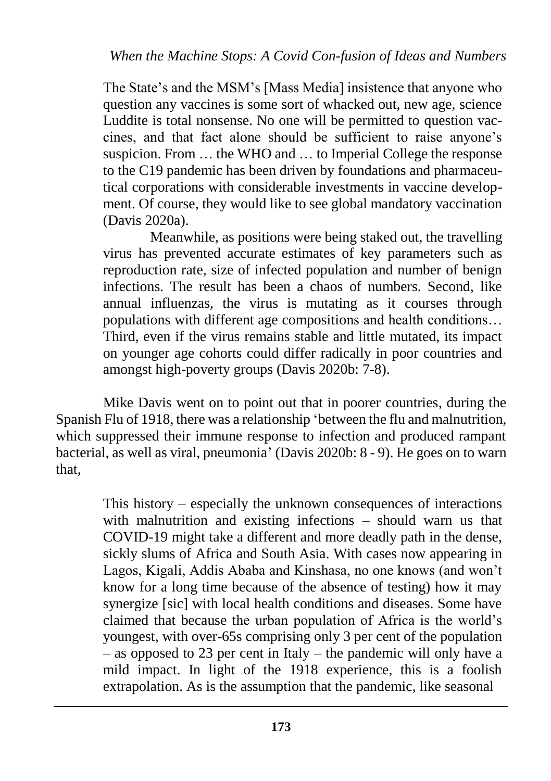The State's and the MSM's [Mass Media] insistence that anyone who question any vaccines is some sort of whacked out, new age, science Luddite is total nonsense. No one will be permitted to question vaccines, and that fact alone should be sufficient to raise anyone's suspicion. From … the WHO and … to Imperial College the response to the C19 pandemic has been driven by foundations and pharmaceutical corporations with considerable investments in vaccine development. Of course, they would like to see global mandatory vaccination (Davis 2020a).

Meanwhile, as positions were being staked out, the travelling virus has prevented accurate estimates of key parameters such as reproduction rate, size of infected population and number of benign infections. The result has been a chaos of numbers. Second, like annual influenzas, the virus is mutating as it courses through populations with different age compositions and health conditions… Third, even if the virus remains stable and little mutated, its impact on younger age cohorts could differ radically in poor countries and amongst high-poverty groups (Davis 2020b: 7-8).

Mike Davis went on to point out that in poorer countries, during the Spanish Flu of 1918, there was a relationship 'between the flu and malnutrition, which suppressed their immune response to infection and produced rampant bacterial, as well as viral, pneumonia' (Davis 2020b: 8 - 9). He goes on to warn that,

> This history – especially the unknown consequences of interactions with malnutrition and existing infections – should warn us that COVID-19 might take a different and more deadly path in the dense, sickly slums of Africa and South Asia. With cases now appearing in Lagos, Kigali, Addis Ababa and Kinshasa, no one knows (and won't know for a long time because of the absence of testing) how it may synergize [sic] with local health conditions and diseases. Some have claimed that because the urban population of Africa is the world's youngest, with over-65s comprising only 3 per cent of the population – as opposed to 23 per cent in Italy – the pandemic will only have a mild impact. In light of the 1918 experience, this is a foolish extrapolation. As is the assumption that the pandemic, like seasonal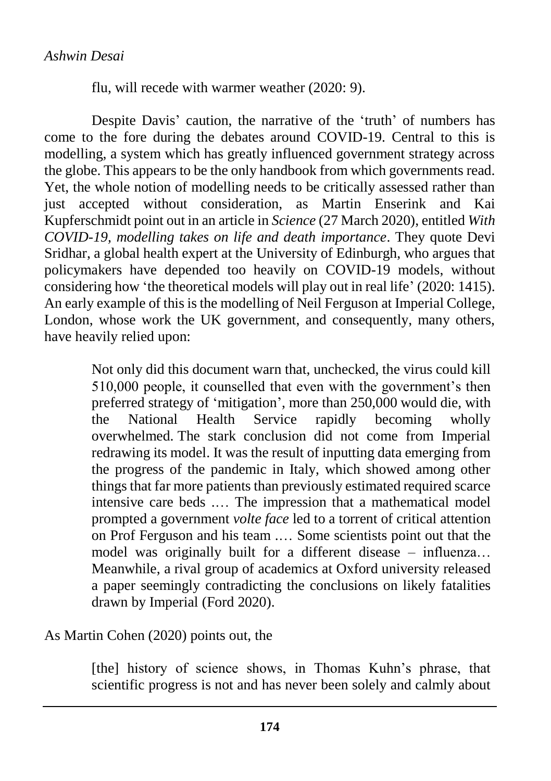flu, will recede with warmer weather (2020: 9).

Despite Davis' caution, the narrative of the 'truth' of numbers has come to the fore during the debates around COVID-19. Central to this is modelling, a system which has greatly influenced government strategy across the globe. This appears to be the only handbook from which governments read. Yet, the whole notion of modelling needs to be critically assessed rather than just accepted without consideration, as Martin Enserink and Kai Kupferschmidt point out in an article in *Science* (27 March 2020), entitled *With COVID-19, modelling takes on life and death importance*. They quote Devi Sridhar, a global health expert at the University of Edinburgh, who argues that policymakers have depended too heavily on COVID-19 models, without considering how 'the theoretical models will play out in real life' (2020: 1415). An early example of this is the modelling of Neil Ferguson at Imperial College, London, whose work the UK government, and consequently, many others, have heavily relied upon:

> Not only did this document warn that, unchecked, the virus could kill 510,000 people, it counselled that even with the government's then preferred strategy of 'mitigation', more than 250,000 would die, with the National Health Service rapidly becoming wholly overwhelmed. The stark conclusion did not come from Imperial redrawing its model. It was the result of inputting data emerging from the progress of the pandemic in Italy, which showed among other things that far more patients than previously estimated required scarce intensive care beds .… The impression that a mathematical model prompted a government *volte face* led to a torrent of critical attention on Prof Ferguson and his team .… Some scientists point out that the model was originally built for a different disease – influenza… Meanwhile, a rival group of academics at Oxford university released a paper seemingly contradicting the conclusions on likely fatalities drawn by Imperial (Ford 2020).

#### As Martin Cohen (2020) points out, the

[the] history of science shows, in Thomas Kuhn's phrase, that scientific progress is not and has never been solely and calmly about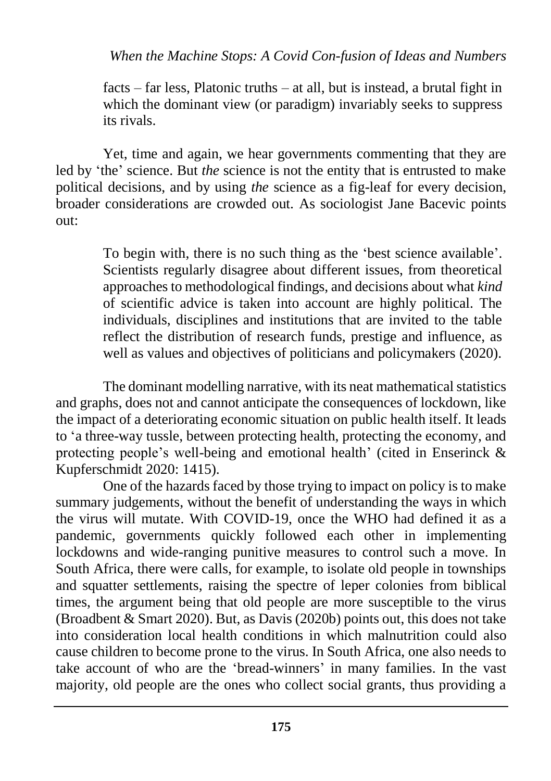facts – far less, Platonic truths – at all, but is instead, a brutal fight in which the dominant view (or paradigm) invariably seeks to suppress its rivals.

Yet, time and again, we hear governments commenting that they are led by 'the' science. But *the* science is not the entity that is entrusted to make political decisions, and by using *the* science as a fig-leaf for every decision, broader considerations are crowded out. As sociologist Jane Bacevic points out:

> To begin with, there is no such thing as the 'best science available'. Scientists regularly disagree about different issues, from theoretical approaches to methodological findings, and decisions about what *kind*  of scientific advice is taken into account are highly political. The individuals, disciplines and institutions that are invited to the table reflect the distribution of research funds, prestige and influence, as well as values and objectives of politicians and policymakers (2020).

The dominant modelling narrative, with its neat mathematical statistics and graphs, does not and cannot anticipate the consequences of lockdown, like the impact of a deteriorating economic situation on public health itself. It leads to 'a three-way tussle, between protecting health, protecting the economy, and protecting people's well-being and emotional health' (cited in Enserinck & Kupferschmidt 2020: 1415).

One of the hazards faced by those trying to impact on policy is to make summary judgements, without the benefit of understanding the ways in which the virus will mutate. With COVID-19, once the WHO had defined it as a pandemic, governments quickly followed each other in implementing lockdowns and wide-ranging punitive measures to control such a move. In South Africa, there were calls, for example, to isolate old people in townships and squatter settlements, raising the spectre of leper colonies from biblical times, the argument being that old people are more susceptible to the virus (Broadbent & Smart 2020). But, as Davis (2020b) points out, this does not take into consideration local health conditions in which malnutrition could also cause children to become prone to the virus. In South Africa, one also needs to take account of who are the 'bread-winners' in many families. In the vast majority, old people are the ones who collect social grants, thus providing a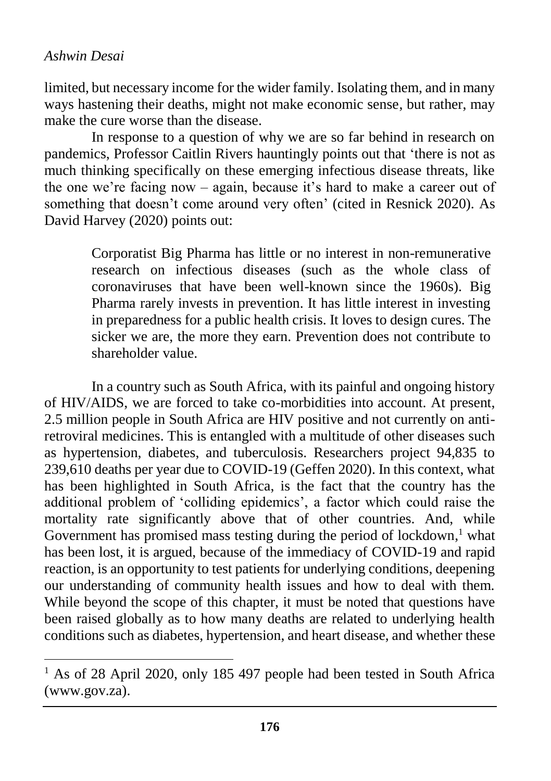#### *Ashwin Desai*

 $\overline{a}$ 

limited, but necessary income for the wider family. Isolating them, and in many ways hastening their deaths, might not make economic sense, but rather, may make the cure worse than the disease.

In response to a question of why we are so far behind in research on pandemics, Professor Caitlin Rivers hauntingly points out that 'there is not as much thinking specifically on these emerging infectious disease threats, like the one we're facing now – again, because it's hard to make a career out of something that doesn't come around very often' (cited in Resnick 2020). As David Harvey (2020) points out:

> Corporatist Big Pharma has little or no interest in non-remunerative research on infectious diseases (such as the whole class of coronaviruses that have been well-known since the 1960s). Big Pharma rarely invests in prevention. It has little interest in investing in preparedness for a public health crisis. It loves to design cures. The sicker we are, the more they earn. Prevention does not contribute to shareholder value.

In a country such as South Africa, with its painful and ongoing history of HIV/AIDS, we are forced to take co-morbidities into account. At present, 2.5 million people in South Africa are HIV positive and not currently on antiretroviral medicines. This is entangled with a multitude of other diseases such as hypertension, diabetes, and tuberculosis. Researchers project 94,835 to 239,610 deaths per year due to COVID-19 (Geffen 2020). In this context, what has been highlighted in South Africa, is the fact that the country has the additional problem of 'colliding epidemics', a factor which could raise the mortality rate significantly above that of other countries. And, while Government has promised mass testing during the period of lockdown,<sup>1</sup> what has been lost, it is argued, because of the immediacy of COVID-19 and rapid reaction, is an opportunity to test patients for underlying conditions, deepening our understanding of community health issues and how to deal with them. While beyond the scope of this chapter, it must be noted that questions have been raised globally as to how many deaths are related to underlying health conditions such as diabetes, hypertension, and heart disease, and whether these

<sup>&</sup>lt;sup>1</sup> As of 28 April 2020, only 185 497 people had been tested in South Africa (www.gov.za).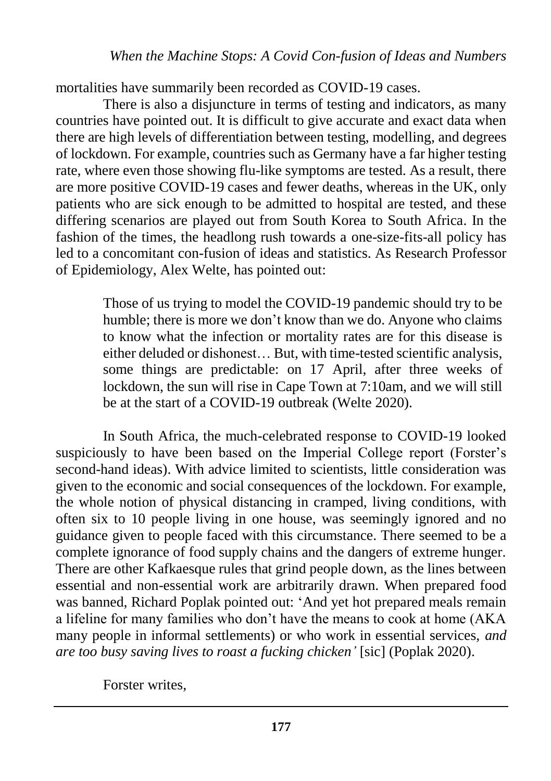mortalities have summarily been recorded as COVID-19 cases.

There is also a disjuncture in terms of testing and indicators, as many countries have pointed out. It is difficult to give accurate and exact data when there are high levels of differentiation between testing, modelling, and degrees of lockdown. For example, countries such as Germany have a far higher testing rate, where even those showing flu-like symptoms are tested. As a result, there are more positive COVID-19 cases and fewer deaths, whereas in the UK, only patients who are sick enough to be admitted to hospital are tested, and these differing scenarios are played out from South Korea to South Africa. In the fashion of the times, the headlong rush towards a one-size-fits-all policy has led to a concomitant con-fusion of ideas and statistics. As Research Professor of Epidemiology, Alex Welte, has pointed out:

> Those of us trying to model the COVID-19 pandemic should try to be humble; there is more we don't know than we do. Anyone who claims to know what the infection or mortality rates are for this disease is either deluded or dishonest… But, with time-tested scientific analysis, some things are predictable: on 17 April, after three weeks of lockdown, the sun will rise in Cape Town at 7:10am, and we will still be at the start of a COVID-19 outbreak (Welte 2020).

In South Africa, the much-celebrated response to COVID-19 looked suspiciously to have been based on the Imperial College report (Forster's second-hand ideas). With advice limited to scientists, little consideration was given to the economic and social consequences of the lockdown. For example, the whole notion of physical distancing in cramped, living conditions, with often six to 10 people living in one house, was seemingly ignored and no guidance given to people faced with this circumstance. There seemed to be a complete ignorance of food supply chains and the dangers of extreme hunger. There are other Kafkaesque rules that grind people down, as the lines between essential and non-essential work are arbitrarily drawn. When prepared food was banned, Richard Poplak pointed out: 'And yet hot prepared meals remain a lifeline for many families who don't have the means to cook at home (AKA many people in informal settlements) or who work in essential services, *and are too busy saving lives to roast a fucking chicken'* [sic] (Poplak 2020).

Forster writes,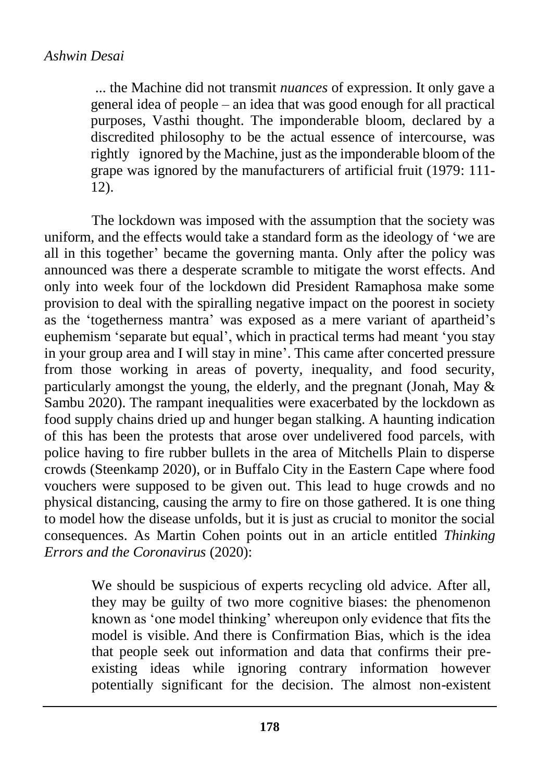... the Machine did not transmit *nuances* of expression. It only gave a general idea of people – an idea that was good enough for all practical purposes, Vasthi thought. The imponderable bloom, declared by a discredited philosophy to be the actual essence of intercourse, was rightly ignored by the Machine, just as the imponderable bloom of the grape was ignored by the manufacturers of artificial fruit (1979: 111- 12).

The lockdown was imposed with the assumption that the society was uniform, and the effects would take a standard form as the ideology of 'we are all in this together' became the governing manta. Only after the policy was announced was there a desperate scramble to mitigate the worst effects. And only into week four of the lockdown did President Ramaphosa make some provision to deal with the spiralling negative impact on the poorest in society as the 'togetherness mantra' was exposed as a mere variant of apartheid's euphemism 'separate but equal', which in practical terms had meant 'you stay in your group area and I will stay in mine'. This came after concerted pressure from those working in areas of poverty, inequality, and food security, particularly amongst the young, the elderly, and the pregnant (Jonah, May & Sambu 2020). The rampant inequalities were exacerbated by the lockdown as food supply chains dried up and hunger began stalking. A haunting indication of this has been the protests that arose over undelivered food parcels, with police having to fire rubber bullets in the area of Mitchells Plain to disperse crowds (Steenkamp 2020), or in Buffalo City in the Eastern Cape where food vouchers were supposed to be given out. This lead to huge crowds and no physical distancing, causing the army to fire on those gathered. It is one thing to model how the disease unfolds, but it is just as crucial to monitor the social consequences. As Martin Cohen points out in an article entitled *Thinking Errors and the Coronavirus* (2020):

> We should be suspicious of experts recycling old advice. After all, they may be guilty of two more cognitive biases: the phenomenon known as 'one model thinking' whereupon only evidence that fits the model is visible. And there is Confirmation Bias, which is the idea that people seek out information and data that confirms their preexisting ideas while ignoring contrary information however potentially significant for the decision. The almost non-existent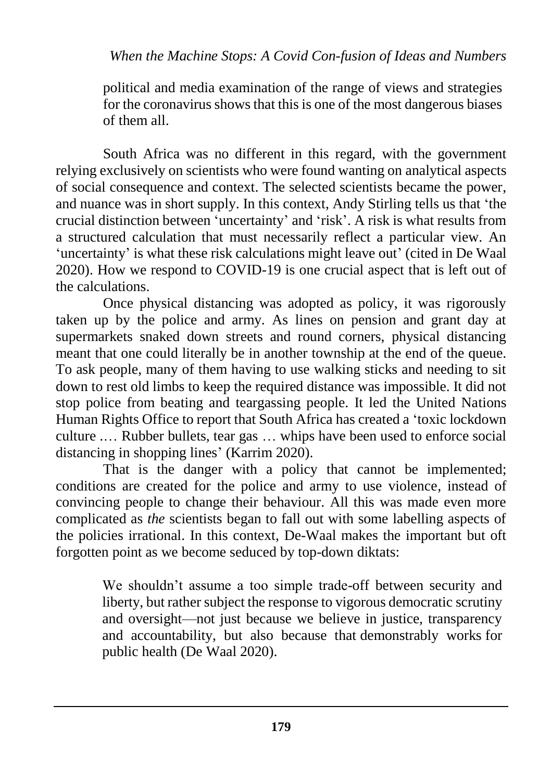political and media examination of the range of views and strategies for the coronavirus shows that this is one of the most dangerous biases of them all.

South Africa was no different in this regard, with the government relying exclusively on scientists who were found wanting on analytical aspects of social consequence and context. The selected scientists became the power, and nuance was in short supply. In this context, Andy Stirling tells us that 'the crucial distinction between 'uncertainty' and 'risk'. A risk is what results from a structured calculation that must necessarily reflect a particular view. An 'uncertainty' is what these risk calculations might leave out' (cited in De Waal 2020). How we respond to COVID-19 is one crucial aspect that is left out of the calculations.

Once physical distancing was adopted as policy, it was rigorously taken up by the police and army. As lines on pension and grant day at supermarkets snaked down streets and round corners, physical distancing meant that one could literally be in another township at the end of the queue. To ask people, many of them having to use walking sticks and needing to sit down to rest old limbs to keep the required distance was impossible. It did not stop police from beating and teargassing people. It led the United Nations Human Rights Office to report that South Africa has created a 'toxic lockdown culture .… Rubber bullets, tear gas … whips have been used to enforce social distancing in shopping lines' (Karrim 2020).

That is the danger with a policy that cannot be implemented; conditions are created for the police and army to use violence, instead of convincing people to change their behaviour. All this was made even more complicated as *the* scientists began to fall out with some labelling aspects of the policies irrational. In this context, De-Waal makes the important but oft forgotten point as we become seduced by top-down diktats:

> We shouldn't assume a too simple trade-off between security and liberty, but rather subject the response to vigorous democratic scrutiny and oversight—not just because we believe in justice, transparency and accountability, but also because that demonstrably works for public health (De Waal 2020).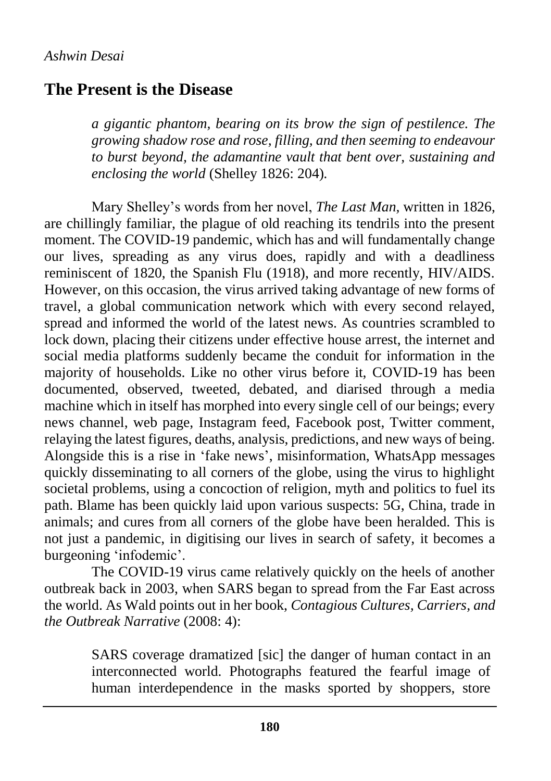### **The Present is the Disease**

*a gigantic phantom, bearing on its brow the sign of pestilence. The growing shadow rose and rose, filling, and then seeming to endeavour to burst beyond, the adamantine vault that bent over, sustaining and enclosing the world* (Shelley 1826: 204)*.* 

Mary Shelley's words from her novel, *The Last Man,* written in 1826, are chillingly familiar, the plague of old reaching its tendrils into the present moment. The COVID-19 pandemic, which has and will fundamentally change our lives, spreading as any virus does, rapidly and with a deadliness reminiscent of 1820, the Spanish Flu (1918), and more recently, HIV/AIDS. However, on this occasion, the virus arrived taking advantage of new forms of travel, a global communication network which with every second relayed, spread and informed the world of the latest news. As countries scrambled to lock down, placing their citizens under effective house arrest, the internet and social media platforms suddenly became the conduit for information in the majority of households. Like no other virus before it, COVID-19 has been documented, observed, tweeted, debated, and diarised through a media machine which in itself has morphed into every single cell of our beings; every news channel, web page, Instagram feed, Facebook post, Twitter comment, relaying the latest figures, deaths, analysis, predictions, and new ways of being. Alongside this is a rise in 'fake news', misinformation, WhatsApp messages quickly disseminating to all corners of the globe, using the virus to highlight societal problems, using a concoction of religion, myth and politics to fuel its path. Blame has been quickly laid upon various suspects: 5G, China, trade in animals; and cures from all corners of the globe have been heralded. This is not just a pandemic, in digitising our lives in search of safety, it becomes a burgeoning 'infodemic'.

The COVID-19 virus came relatively quickly on the heels of another outbreak back in 2003, when SARS began to spread from the Far East across the world. As Wald points out in her book, *Contagious Cultures, Carriers, and the Outbreak Narrative* (2008: 4):

> SARS coverage dramatized [sic] the danger of human contact in an interconnected world. Photographs featured the fearful image of human interdependence in the masks sported by shoppers, store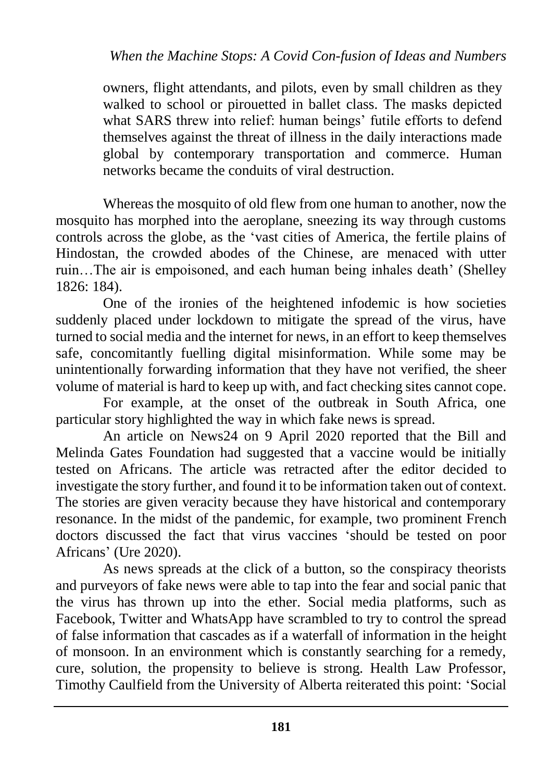owners, flight attendants, and pilots, even by small children as they walked to school or pirouetted in ballet class. The masks depicted what SARS threw into relief: human beings' futile efforts to defend themselves against the threat of illness in the daily interactions made global by contemporary transportation and commerce. Human networks became the conduits of viral destruction.

Whereas the mosquito of old flew from one human to another, now the mosquito has morphed into the aeroplane, sneezing its way through customs controls across the globe, as the 'vast cities of America, the fertile plains of Hindostan, the crowded abodes of the Chinese, are menaced with utter ruin…The air is empoisoned, and each human being inhales death' (Shelley 1826: 184).

One of the ironies of the heightened infodemic is how societies suddenly placed under lockdown to mitigate the spread of the virus, have turned to social media and the internet for news, in an effort to keep themselves safe, concomitantly fuelling digital misinformation. While some may be unintentionally forwarding information that they have not verified, the sheer volume of material is hard to keep up with, and fact checking sites cannot cope.

For example, at the onset of the outbreak in South Africa, one particular story highlighted the way in which fake news is spread.

An article on News24 on 9 April 2020 reported that the Bill and Melinda Gates Foundation had suggested that a vaccine would be initially tested on Africans. The article was retracted after the editor decided to investigate the story further, and found it to be information taken out of context. The stories are given veracity because they have historical and contemporary resonance. In the midst of the pandemic, for example, two prominent French doctors discussed the fact that virus vaccines 'should be tested on poor Africans' (Ure 2020).

As news spreads at the click of a button, so the conspiracy theorists and purveyors of fake news were able to tap into the fear and social panic that the virus has thrown up into the ether. Social media platforms, such as Facebook, Twitter and WhatsApp have scrambled to try to control the spread of false information that cascades as if a waterfall of information in the height of monsoon. In an environment which is constantly searching for a remedy, cure, solution, the propensity to believe is strong. Health Law Professor, Timothy Caulfield from the University of Alberta reiterated this point: 'Social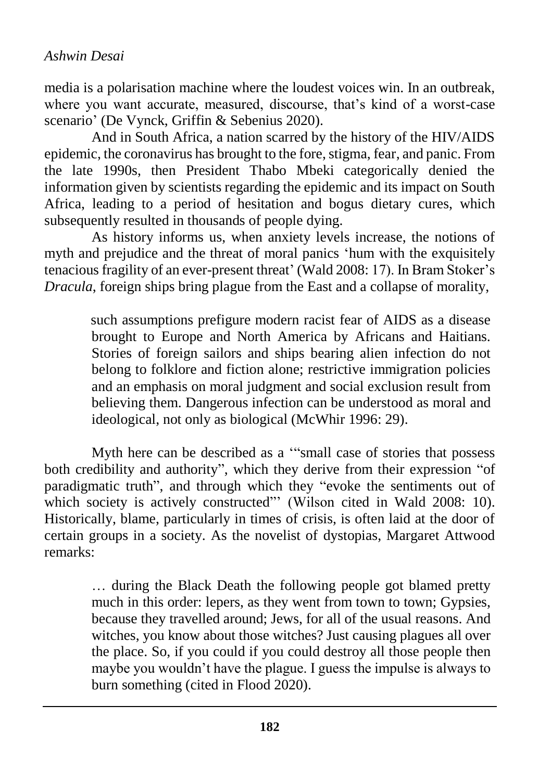media is a polarisation machine where the loudest voices win. In an outbreak, where you want accurate, measured, discourse, that's kind of a worst-case scenario' (De Vynck, Griffin & Sebenius 2020).

And in South Africa, a nation scarred by the history of the HIV/AIDS epidemic, the coronavirus has brought to the fore, stigma, fear, and panic. From the late 1990s, then President Thabo Mbeki categorically denied the information given by scientists regarding the epidemic and its impact on South Africa, leading to a period of hesitation and bogus dietary cures, which subsequently resulted in thousands of people dying.

As history informs us, when anxiety levels increase, the notions of myth and prejudice and the threat of moral panics 'hum with the exquisitely tenacious fragility of an ever-present threat' (Wald 2008: 17). In Bram Stoker's *Dracula*, foreign ships bring plague from the East and a collapse of morality,

> such assumptions prefigure modern racist fear of AIDS as a disease brought to Europe and North America by Africans and Haitians. Stories of foreign sailors and ships bearing alien infection do not belong to folklore and fiction alone; restrictive immigration policies and an emphasis on moral judgment and social exclusion result from believing them. Dangerous infection can be understood as moral and ideological, not only as biological (McWhir 1996: 29).

Myth here can be described as a '"small case of stories that possess both credibility and authority", which they derive from their expression "of paradigmatic truth", and through which they "evoke the sentiments out of which society is actively constructed"' (Wilson cited in Wald 2008: 10). Historically, blame, particularly in times of crisis, is often laid at the door of certain groups in a society. As the novelist of dystopias, Margaret Attwood remarks:

> … during the Black Death the following people got blamed pretty much in this order: lepers, as they went from town to town; Gypsies, because they travelled around; Jews, for all of the usual reasons. And witches, you know about those witches? Just causing plagues all over the place. So, if you could if you could destroy all those people then maybe you wouldn't have the plague. I guess the impulse is always to burn something (cited in Flood 2020).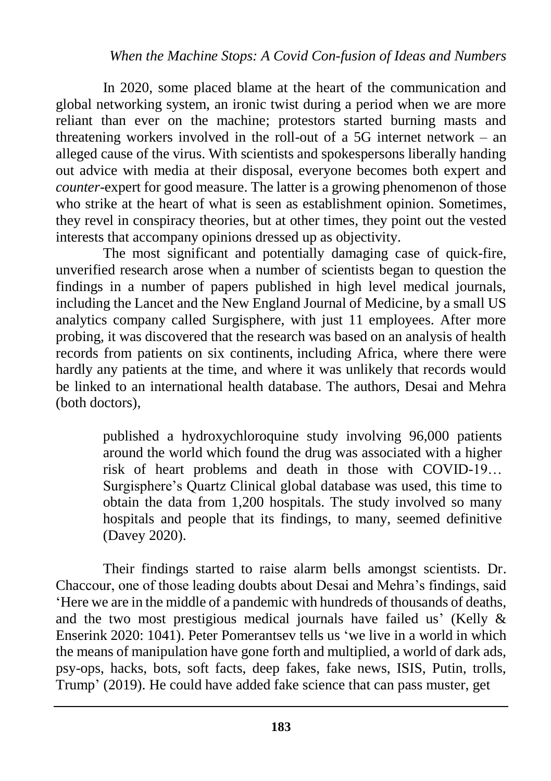In 2020, some placed blame at the heart of the communication and global networking system, an ironic twist during a period when we are more reliant than ever on the machine; protestors started burning masts and threatening workers involved in the roll-out of a 5G internet network – an alleged cause of the virus. With scientists and spokespersons liberally handing out advice with media at their disposal, everyone becomes both expert and *counter*-expert for good measure. The latter is a growing phenomenon of those who strike at the heart of what is seen as establishment opinion. Sometimes, they revel in conspiracy theories, but at other times, they point out the vested interests that accompany opinions dressed up as objectivity.

The most significant and potentially damaging case of quick-fire, unverified research arose when a number of scientists began to question the findings in a number of papers published in high level medical journals, including the Lancet and the New England Journal of Medicine, by a small US analytics company called Surgisphere, with just 11 employees. After more probing, it was discovered that the research was based on an analysis of health records from patients on six continents, including Africa, where there were hardly any patients at the time, and where it was unlikely that records would be linked to an international health database. The authors, Desai and Mehra (both doctors),

> [published a hydroxychloroquine study involving 96,000 patients](https://www.theguardian.com/world/2020/may/25/who-world-health-organization-hydroxychloroquine-trial-trump-coronavirus-safety-fears)  [around the world](https://www.theguardian.com/world/2020/may/25/who-world-health-organization-hydroxychloroquine-trial-trump-coronavirus-safety-fears) which found the drug was associated with a higher risk of heart problems and death in those with COVID-19… Surgisphere's Quartz Clinical global database was used, this time to obtain the data from 1,200 hospitals. The study involved so many hospitals and people that its findings, to many, seemed definitive (Davey 2020).

Their findings started to raise alarm bells amongst scientists. Dr. Chaccour, one of those leading doubts about Desai and Mehra's findings, said 'Here we are in the middle of a pandemic with hundreds of thousands of deaths, and the two most prestigious medical journals have failed us' (Kelly & Enserink 2020: 1041). Peter Pomerantsev tells us 'we live in a world in which the means of manipulation have gone forth and multiplied, a world of dark ads, psy-ops, hacks, bots, soft facts, deep fakes, fake news, ISIS, Putin, trolls, Trump' (2019). He could have added fake science that can pass muster, get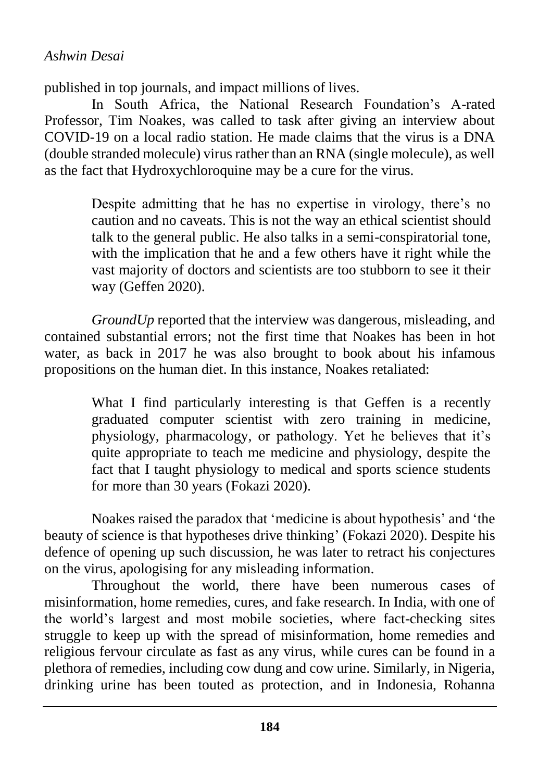#### *Ashwin Desai*

published in top journals, and impact millions of lives.

In South Africa, the National Research Foundation's A-rated Professor, Tim Noakes, was called to task after giving an interview about COVID-19 on a local radio station. He made claims that the virus is a DNA (double stranded molecule) virus rather than an RNA (single molecule), as well as the fact that Hydroxychloroquine may be a cure for the virus.

> Despite admitting that he has no expertise in virology, there's no caution and no caveats. This is not the way an ethical scientist should talk to the general public. He also talks in a semi-conspiratorial tone, with the implication that he and a few others have it right while the vast majority of doctors and scientists are too stubborn to see it their way (Geffen 2020).

*GroundUp* reported that the interview was dangerous, misleading, and contained substantial errors; not the first time that Noakes has been in hot water, as back in 2017 he was also brought to book about his infamous propositions on the human diet. In this instance, Noakes retaliated:

> What I find particularly interesting is that Geffen is a recently graduated computer scientist with zero training in medicine, physiology, pharmacology, or pathology. Yet he believes that it's quite appropriate to teach me medicine and physiology, despite the fact that I taught physiology to medical and sports science students for more than 30 years (Fokazi 2020).

Noakes raised the paradox that 'medicine is about hypothesis' and 'the beauty of science is that hypotheses drive thinking' (Fokazi 2020). Despite his defence of opening up such discussion, he was later to retract his conjectures on the virus, apologising for any misleading information.

Throughout the world, there have been numerous cases of misinformation, home remedies, cures, and fake research. In India, with one of the world's largest and most mobile societies, where fact-checking sites struggle to keep up with the spread of misinformation, home remedies and religious fervour circulate as fast as any virus, while cures can be found in a plethora of remedies, including cow dung and cow urine. Similarly, in Nigeria, drinking urine has been touted as protection, and in Indonesia, Rohanna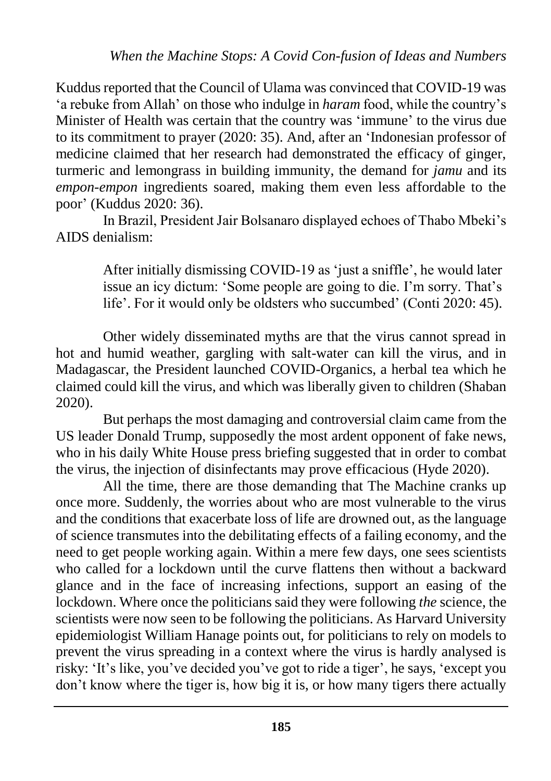Kuddus reported that the Council of Ulama was convinced that COVID-19 was 'a rebuke from Allah' on those who indulge in *haram* food, while the country's Minister of Health was certain that the country was 'immune' to the virus due to its commitment to prayer (2020: 35). And, after an 'Indonesian professor of medicine claimed that her research had demonstrated the efficacy of ginger, turmeric and lemongrass in building immunity, the demand for *jamu* and its *empon-empon* ingredients soared, making them even less affordable to the poor' (Kuddus 2020: 36).

In Brazil, President Jair Bolsanaro displayed echoes of Thabo Mbeki's AIDS denialism:

> After initially dismissing COVID-19 as 'just a sniffle', he would later issue an icy dictum: 'Some people are going to die. I'm sorry. That's life'. For it would only be oldsters who succumbed' (Conti 2020: 45).

Other widely disseminated myths are that the virus cannot spread in hot and humid weather, gargling with salt-water can kill the virus, and in Madagascar, the President launched COVID-Organics, a herbal tea which he claimed could kill the virus, and which was liberally given to children (Shaban 2020).

But perhaps the most damaging and controversial claim came from the US leader Donald Trump, supposedly the most ardent opponent of fake news, who in his daily White House press briefing suggested that in order to combat the virus, the injection of disinfectants may prove efficacious (Hyde 2020).

All the time, there are those demanding that The Machine cranks up once more. Suddenly, the worries about who are most vulnerable to the virus and the conditions that exacerbate loss of life are drowned out, as the language of science transmutes into the debilitating effects of a failing economy, and the need to get people working again. Within a mere few days, one sees scientists who called for a lockdown until the curve flattens then without a backward glance and in the face of increasing infections, support an easing of the lockdown. Where once the politicians said they were following *the* science, the scientists were now seen to be following the politicians. As Harvard University epidemiologist William Hanage points out, for politicians to rely on models to prevent the virus spreading in a context where the virus is hardly analysed is risky: 'It's like, you've decided you've got to ride a tiger', he says, 'except you don't know where the tiger is, how big it is, or how many tigers there actually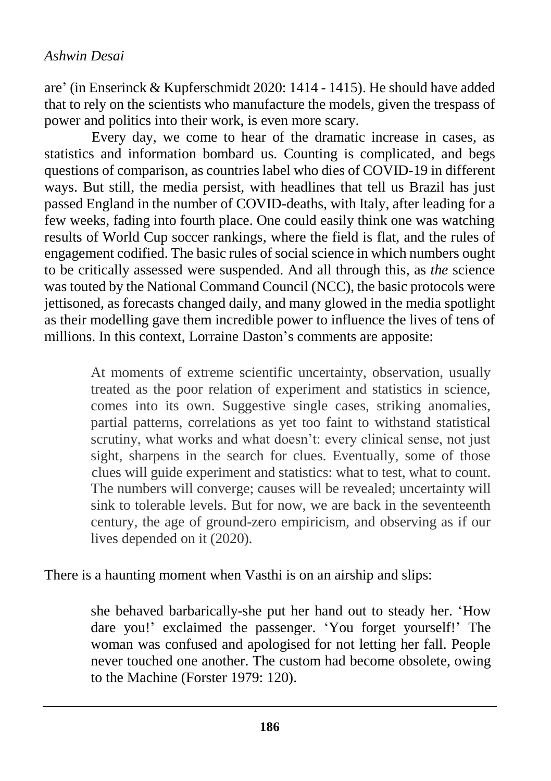are' (in Enserinck & Kupferschmidt 2020: 1414 - 1415). He should have added that to rely on the scientists who manufacture the models, given the trespass of power and politics into their work, is even more scary.

Every day, we come to hear of the dramatic increase in cases, as statistics and information bombard us. Counting is complicated, and begs questions of comparison, as countries label who dies of COVID-19 in different ways. But still, the media persist, with headlines that tell us Brazil has just passed England in the number of COVID-deaths, with Italy, after leading for a few weeks, fading into fourth place. One could easily think one was watching results of World Cup soccer rankings, where the field is flat, and the rules of engagement codified. The basic rules of social science in which numbers ought to be critically assessed were suspended. And all through this, as *the* science was touted by the National Command Council (NCC), the basic protocols were jettisoned, as forecasts changed daily, and many glowed in the media spotlight as their modelling gave them incredible power to influence the lives of tens of millions. In this context, Lorraine Daston's comments are apposite:

> At moments of extreme scientific uncertainty, observation, usually treated as the poor relation of experiment and statistics in science, comes into its own. Suggestive single cases, striking anomalies, partial patterns, correlations as yet too faint to withstand statistical scrutiny, what works and what doesn't: every clinical sense, not just sight, sharpens in the search for clues. Eventually, some of those clues will guide experiment and statistics: what to test, what to count. The numbers will converge; causes will be revealed; uncertainty will sink to tolerable levels. But for now, we are back in the seventeenth century, the age of ground-zero empiricism, and observing as if our lives depended on it (2020).

There is a haunting moment when Vasthi is on an airship and slips:

she behaved barbarically-she put her hand out to steady her. 'How dare you!' exclaimed the passenger. 'You forget yourself!' The woman was confused and apologised for not letting her fall. People never touched one another. The custom had become obsolete, owing to the Machine (Forster 1979: 120).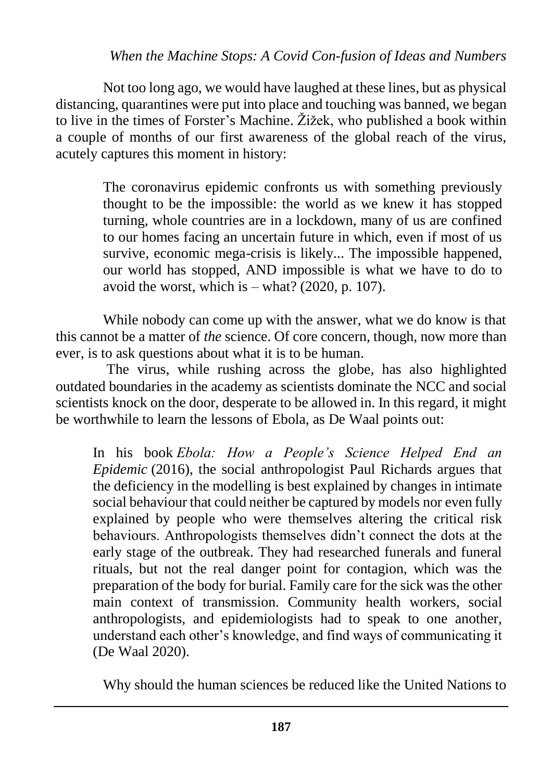Not too long ago, we would have laughed at these lines, but as physical distancing, quarantines were put into place and touching was banned, we began to live in the times of Forster's Machine. Žižek, who published a book within a couple of months of our first awareness of the global reach of the virus, acutely captures this moment in history:

> The coronavirus epidemic confronts us with something previously thought to be the impossible: the world as we knew it has stopped turning, whole countries are in a lockdown, many of us are confined to our homes facing an uncertain future in which, even if most of us survive, economic mega-crisis is likely... The impossible happened, our world has stopped, AND impossible is what we have to do to avoid the worst, which is  $-$  what? (2020, p. 107).

While nobody can come up with the answer, what we do know is that this cannot be a matter of *the* science. Of core concern, though, now more than ever, is to ask questions about what it is to be human.

The virus, while rushing across the globe, has also highlighted outdated boundaries in the academy as scientists dominate the NCC and social scientists knock on the door, desperate to be allowed in. In this regard, it might be worthwhile to learn the lessons of Ebola, as De Waal points out:

In his book *Ebola: How a People's Science Helped End an Epidemic* (2016), the social anthropologist Paul Richards argues that the deficiency in the modelling is best explained by changes in intimate social behaviour that could neither be captured by models nor even fully explained by people who were themselves altering the critical risk behaviours. Anthropologists themselves didn't connect the dots at the early stage of the outbreak. They had researched funerals and funeral rituals, but not the real danger point for contagion, which was the preparation of the body for burial. Family care for the sick was the other main context of transmission. Community health workers, social anthropologists, and epidemiologists had to speak to one another, understand each other's knowledge, and find ways of communicating it (De Waal 2020).

Why should the human sciences be reduced like the United Nations to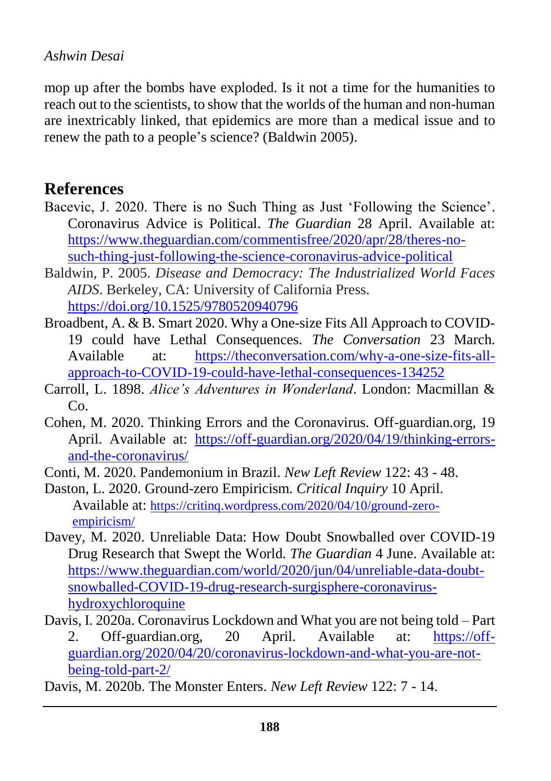#### *Ashwin Desai*

mop up after the bombs have exploded. Is it not a time for the humanities to reach out to the scientists, to show that the worlds of the human and non-human are inextricably linked, that epidemics are more than a medical issue and to renew the path to a people's science? (Baldwin 2005).

### **References**

- Bacevic, J. 2020. There is no Such Thing as Just 'Following the Science'. Coronavirus Advice is Political. *The Guardian* 28 April. Available at: [https://www.theguardian.com/commentisfree/2020/apr/28/theres-no](https://www.theguardian.com/commentisfree/2020/apr/28/theres-no-such-thing-just-following-the-science-coronavirus-advice-political)[such-thing-just-following-the-science-coronavirus-advice-political](https://www.theguardian.com/commentisfree/2020/apr/28/theres-no-such-thing-just-following-the-science-coronavirus-advice-political)
- Baldwin, P. 2005. *Disease and Democracy: The Industrialized World Faces AIDS*. Berkeley, CA: University of California Press. <https://doi.org/10.1525/9780520940796>
- Broadbent, A. & B. Smart 2020. Why a One-size Fits All Approach to COVID-19 could have Lethal Consequences. *The Conversation* 23 March. Available at: [https://theconversation.com/why-a-one-size-fits-all](https://theconversation.com/why-a-one-size-fits-all-approach-to-covid-19-could-have-lethal-consequences-134252)[approach-to-COVID-19-could-have-lethal-consequences-134252](https://theconversation.com/why-a-one-size-fits-all-approach-to-covid-19-could-have-lethal-consequences-134252)
- Carroll, L. 1898. *Alice's Adventures in Wonderland*. London: Macmillan &  $Co$
- Cohen, M. 2020. Thinking Errors and the Coronavirus. Off-guardian.org, 19 April. Available at: [https://off-guardian.org/2020/04/19/thinking-errors](https://off-guardian.org/2020/04/19/thinking-errors-and-the-coronavirus/)[and-the-coronavirus/](https://off-guardian.org/2020/04/19/thinking-errors-and-the-coronavirus/)
- Conti, M. 2020. Pandemonium in Brazil. *New Left Review* 122: 43 48.
- Daston, L. 2020. Ground-zero Empiricism. *Critical Inquiry* 10 April. Available at: [https://critinq.wordpress.com/2020/04/10/ground-zero](https://critinq.wordpress.com/2020/04/10/ground-zero-empiricism/)[empiricism/](https://critinq.wordpress.com/2020/04/10/ground-zero-empiricism/)
- Davey, M. 2020. Unreliable Data: How Doubt Snowballed over COVID-19 Drug Research that Swept the World. *The Guardian* 4 June. Available at: [https://www.theguardian.com/world/2020/jun/04/unreliable-data-doubt](https://www.theguardian.com/world/2020/jun/04/unreliable-data-doubt-snowballed-covid-19-drug-research-surgisphere-coronavirus-hydroxychloroquine)[snowballed-COVID-19-drug-research-surgisphere-coronavirus](https://www.theguardian.com/world/2020/jun/04/unreliable-data-doubt-snowballed-covid-19-drug-research-surgisphere-coronavirus-hydroxychloroquine)[hydroxychloroquine](https://www.theguardian.com/world/2020/jun/04/unreliable-data-doubt-snowballed-covid-19-drug-research-surgisphere-coronavirus-hydroxychloroquine)
- Davis, I. 2020a. Coronavirus Lockdown and What you are not being told Part 2. Off-guardian.org, 20 April. Available at: [https://off](https://off-guardian.org/2020/04/20/coronavirus-lockdown-and-what-you-are-not-being-told-part-2/)[guardian.org/2020/04/20/coronavirus-lockdown-and-what-you-are-not](https://off-guardian.org/2020/04/20/coronavirus-lockdown-and-what-you-are-not-being-told-part-2/)[being-told-part-2/](https://off-guardian.org/2020/04/20/coronavirus-lockdown-and-what-you-are-not-being-told-part-2/)
- Davis, M. 2020b. The Monster Enters. *New Left Review* 122: 7 14.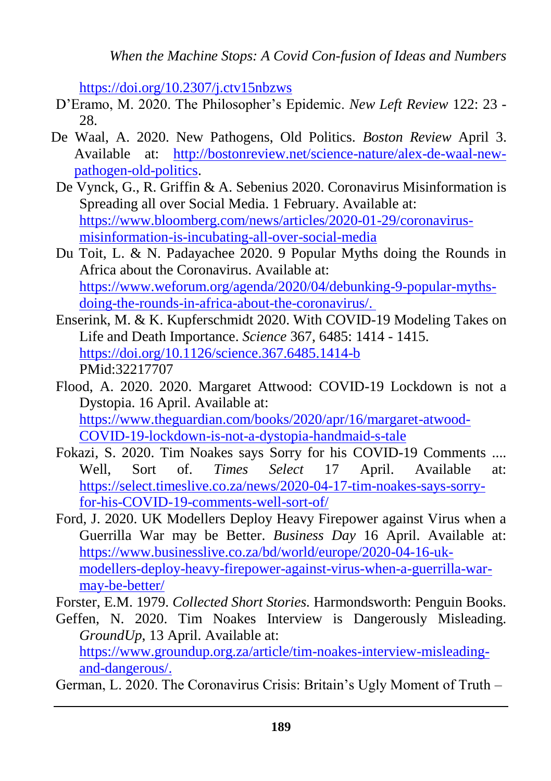<https://doi.org/10.2307/j.ctv15nbzws>

- D'Eramo, M. 2020. The Philosopher's Epidemic. *New Left Review* 122: 23 28.
- De Waal, A. 2020. New Pathogens, Old Politics. *Boston Review* April 3. Available at: [http://bostonreview.net/science-nature/alex-de-waal-new](http://bostonreview.net/science-nature/alex-de-waal-new-pathogen-old-politics)[pathogen-old-politics.](http://bostonreview.net/science-nature/alex-de-waal-new-pathogen-old-politics)
- De Vynck, G., R. Griffin & A. Sebenius 2020. Coronavirus Misinformation is Spreading all over Social Media. 1 February. Available at: [https://www.bloomberg.com/news/articles/2020-01-29/coronavirus](https://www.bloomberg.com/news/articles/2020-01-29/coronavirus-misinformation-is-incubating-all-over-social-media)[misinformation-is-incubating-all-over-social-media](https://www.bloomberg.com/news/articles/2020-01-29/coronavirus-misinformation-is-incubating-all-over-social-media)
- Du Toit, L. & N. Padayachee 2020. 9 Popular Myths doing the Rounds in Africa about the Coronavirus. Available at: [https://www.weforum.org/agenda/2020/04/debunking-9-popular-myths](https://www.weforum.org/agenda/2020/04/debunking-9-popular-myths-doing-the-rounds-in-africa-about-the-coronavirus/)[doing-the-rounds-in-africa-about-the-coronavirus/.](https://www.weforum.org/agenda/2020/04/debunking-9-popular-myths-doing-the-rounds-in-africa-about-the-coronavirus/)
- Enserink, M. & K. Kupferschmidt 2020. With COVID-19 Modeling Takes on Life and Death Importance. *Science* 367, 6485: 1414 - 1415. <https://doi.org/10.1126/science.367.6485.1414-b> PMid:32217707
- Flood, A. 2020. 2020. Margaret Attwood: COVID-19 Lockdown is not a Dystopia. 16 April. Available at: [https://www.theguardian.com/books/2020/apr/16/margaret-atwood-](https://www.theguardian.com/books/2020/apr/16/margaret-atwood-covid-19-lockdown-is-not-a-dystopia-handmaid-s-tale)[COVID-19-lockdown-is-not-a-dystopia-handmaid-s-tale](https://www.theguardian.com/books/2020/apr/16/margaret-atwood-covid-19-lockdown-is-not-a-dystopia-handmaid-s-tale)
- Fokazi, S. 2020. Tim Noakes says Sorry for his COVID-19 Comments .... Well, Sort of. *Times Select* 17 April. Available at: [https://select.timeslive.co.za/news/2020-04-17-tim-noakes-says-sorry](https://select.timeslive.co.za/news/2020-04-17-tim-noakes-says-sorry-for-his-covid-19-comments-well-sort-of/)[for-his-COVID-19-comments-well-sort-of/](https://select.timeslive.co.za/news/2020-04-17-tim-noakes-says-sorry-for-his-covid-19-comments-well-sort-of/)
- Ford, J. 2020. UK Modellers Deploy Heavy Firepower against Virus when a Guerrilla War may be Better. *Business Day* 16 April. Available at: [https://www.businesslive.co.za/bd/world/europe/2020-04-16-uk](https://www.businesslive.co.za/bd/world/europe/2020-04-16-uk-modellers-deploy-heavy-firepower-against-virus-when-a-guerrilla-war-may-be-better/)[modellers-deploy-heavy-firepower-against-virus-when-a-guerrilla-war](https://www.businesslive.co.za/bd/world/europe/2020-04-16-uk-modellers-deploy-heavy-firepower-against-virus-when-a-guerrilla-war-may-be-better/)[may-be-better/](https://www.businesslive.co.za/bd/world/europe/2020-04-16-uk-modellers-deploy-heavy-firepower-against-virus-when-a-guerrilla-war-may-be-better/)

Forster, E.M. 1979. *Collected Short Stories.* Harmondsworth: Penguin Books.

Geffen, N. 2020. Tim Noakes Interview is Dangerously Misleading. *GroundUp*, 13 April. Available at: [https://www.groundup.org.za/article/tim-noakes-interview-misleading](https://www.groundup.org.za/article/tim-noakes-interview-misleading-and-dangerous/)[and-dangerous/.](https://www.groundup.org.za/article/tim-noakes-interview-misleading-and-dangerous/)

German, L. 2020. The Coronavirus Crisis: Britain's Ugly Moment of Truth –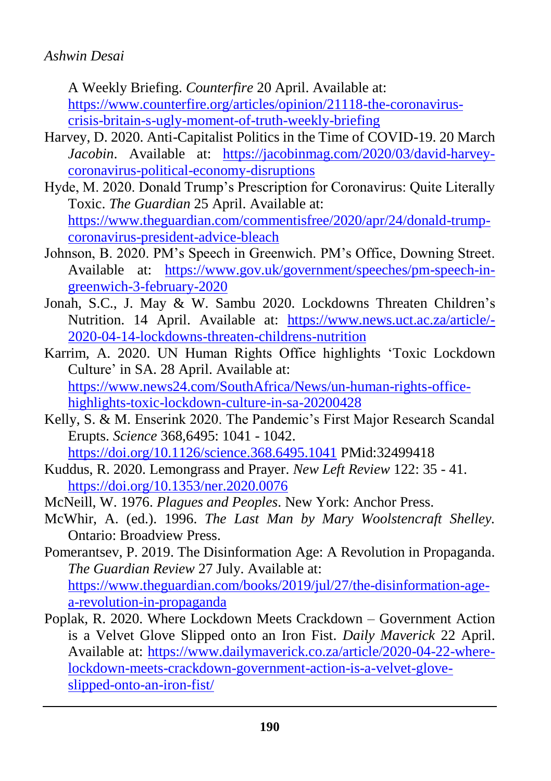#### *Ashwin Desai*

A Weekly Briefing. *Counterfire* 20 April. Available at: [https://www.counterfire.org/articles/opinion/21118-the-coronavirus](https://www.counterfire.org/articles/opinion/21118-the-coronavirus-crisis-britain-s-ugly-moment-of-truth-weekly-briefing)[crisis-britain-s-ugly-moment-of-truth-weekly-briefing](https://www.counterfire.org/articles/opinion/21118-the-coronavirus-crisis-britain-s-ugly-moment-of-truth-weekly-briefing)

- Harvey, D. 2020. Anti-Capitalist Politics in the Time of COVID-19. 20 March *Jacobin*. Available at: [https://jacobinmag.com/2020/03/david-harvey](https://jacobinmag.com/2020/03/david-harvey-coronavirus-political-economy-disruptions)[coronavirus-political-economy-disruptions](https://jacobinmag.com/2020/03/david-harvey-coronavirus-political-economy-disruptions)
- Hyde, M. 2020. Donald Trump's Prescription for Coronavirus: Quite Literally Toxic. *The Guardian* 25 April. Available at: [https://www.theguardian.com/commentisfree/2020/apr/24/donald-trump](https://www.theguardian.com/commentisfree/2020/apr/24/donald-trump-coronavirus-president-advice-bleach)[coronavirus-president-advice-bleach](https://www.theguardian.com/commentisfree/2020/apr/24/donald-trump-coronavirus-president-advice-bleach)
- Johnson, B. 2020. PM's Speech in Greenwich. PM's Office, Downing Street. Available at: [https://www.gov.uk/government/speeches/pm-speech-in](https://www.gov.uk/government/speeches/pm-speech-in-greenwich-3-february-2020)[greenwich-3-february-2020](https://www.gov.uk/government/speeches/pm-speech-in-greenwich-3-february-2020)
- Jonah, S.C., J. May & W. Sambu 2020. Lockdowns Threaten Children's Nutrition. 14 April. Available at: [https://www.news.uct.ac.za/article/-](https://www.news.uct.ac.za/article/-2020-04-14-lockdowns-threaten-childrens-nutrition) [2020-04-14-lockdowns-threaten-childrens-nutrition](https://www.news.uct.ac.za/article/-2020-04-14-lockdowns-threaten-childrens-nutrition)
- Karrim, A. 2020. UN Human Rights Office highlights 'Toxic Lockdown Culture' in SA. 28 April. Available at: [https://www.news24.com/SouthAfrica/News/un-human-rights-office](https://www.news24.com/SouthAfrica/News/un-human-rights-office-highlights-toxic-lockdown-culture-in-sa-20200428)[highlights-toxic-lockdown-culture-in-sa-20200428](https://www.news24.com/SouthAfrica/News/un-human-rights-office-highlights-toxic-lockdown-culture-in-sa-20200428)
- Kelly, S. & M. Enserink 2020. The Pandemic's First Major Research Scandal Erupts. *Science* 368,6495: 1041 - 1042. <https://doi.org/10.1126/science.368.6495.1041> PMid:32499418
- Kuddus, R. 2020. Lemongrass and Prayer. *New Left Review* 122: 35 41. <https://doi.org/10.1353/ner.2020.0076>
- McNeill, W. 1976. *Plagues and Peoples*. New York: Anchor Press.
- McWhir, A. (ed.). 1996. *The Last Man by Mary Woolstencraft Shelley.* Ontario: Broadview Press.
- Pomerantsev, P. 2019. The Disinformation Age: A Revolution in Propaganda. *The Guardian Review* 27 July. Available at: [https://www.theguardian.com/books/2019/jul/27/the-disinformation-age](https://www.theguardian.com/books/2019/jul/27/the-disinformation-age-a-revolution-in-propaganda)[a-revolution-in-propaganda](https://www.theguardian.com/books/2019/jul/27/the-disinformation-age-a-revolution-in-propaganda)
- Poplak, R. 2020. Where Lockdown Meets Crackdown Government Action is a Velvet Glove Slipped onto an Iron Fist. *Daily Maverick* 22 April. Available at: [https://www.dailymaverick.co.za/article/2020-04-22-where](https://www.dailymaverick.co.za/article/2020-04-22-where-lockdown-meets-crackdown-government-action-is-a-velvet-glove-slipped-onto-an-iron-fist/)[lockdown-meets-crackdown-government-action-is-a-velvet-glove](https://www.dailymaverick.co.za/article/2020-04-22-where-lockdown-meets-crackdown-government-action-is-a-velvet-glove-slipped-onto-an-iron-fist/)[slipped-onto-an-iron-fist/](https://www.dailymaverick.co.za/article/2020-04-22-where-lockdown-meets-crackdown-government-action-is-a-velvet-glove-slipped-onto-an-iron-fist/)